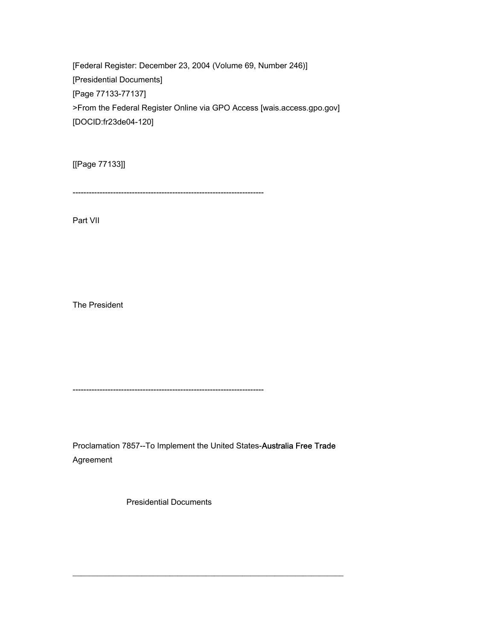[Federal Register: December 23, 2004 (Volume 69, Number 246)] [Presidential Documents] [Page 77133-77137] >From the Federal Register Online via GPO Access [wais.access.gpo.gov] [DOCID:fr23de04-120]

[[Page 77133]]

-----------------------------------------------------------------------

Part VII

The President

-----------------------------------------------------------------------

Proclamation 7857--To Implement the United States-Australia Free Trade Agreement

\_\_\_\_\_\_\_\_\_\_\_\_\_\_\_\_\_\_\_\_\_\_\_\_\_\_\_\_\_\_\_\_\_\_\_\_\_\_\_\_\_\_\_\_\_\_\_\_\_\_\_\_\_\_\_\_\_\_\_\_\_\_\_\_\_\_\_

Presidential Documents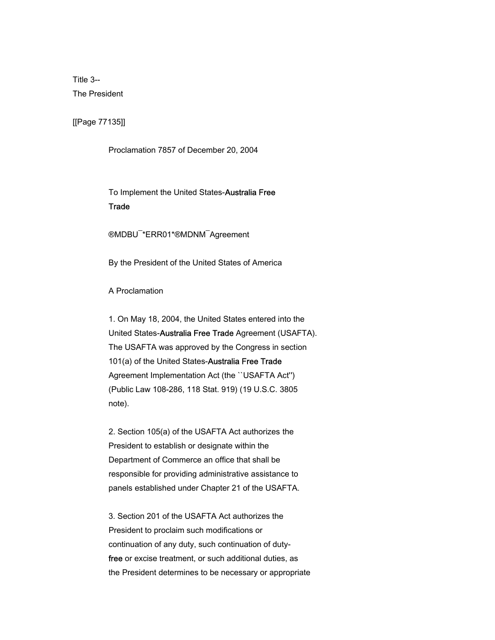Title 3-- The President

[[Page 77135]]

Proclamation 7857 of December 20, 2004

 To Implement the United States-Australia Free **Trade** 

®MDBU¯\*ERR01\*®MDNM¯Agreement

By the President of the United States of America

A Proclamation

 1. On May 18, 2004, the United States entered into the United States-Australia Free Trade Agreement (USAFTA). The USAFTA was approved by the Congress in section 101(a) of the United States-Australia Free Trade Agreement Implementation Act (the ``USAFTA Act'') (Public Law 108-286, 118 Stat. 919) (19 U.S.C. 3805 note).

 2. Section 105(a) of the USAFTA Act authorizes the President to establish or designate within the Department of Commerce an office that shall be responsible for providing administrative assistance to panels established under Chapter 21 of the USAFTA.

 3. Section 201 of the USAFTA Act authorizes the President to proclaim such modifications or continuation of any duty, such continuation of duty free or excise treatment, or such additional duties, as the President determines to be necessary or appropriate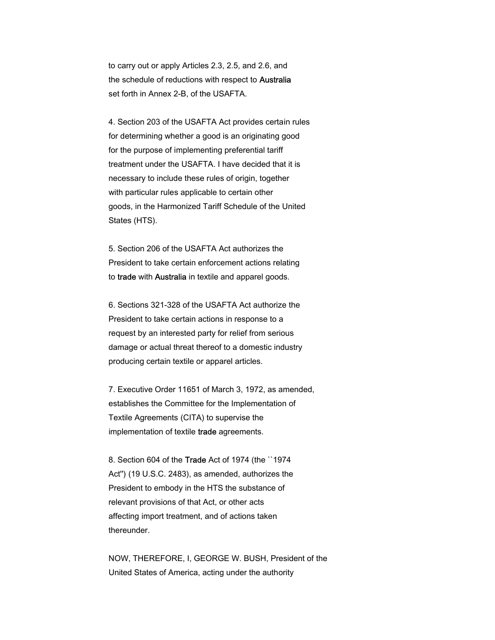to carry out or apply Articles 2.3, 2.5, and 2.6, and the schedule of reductions with respect to Australia set forth in Annex 2-B, of the USAFTA.

 4. Section 203 of the USAFTA Act provides certain rules for determining whether a good is an originating good for the purpose of implementing preferential tariff treatment under the USAFTA. I have decided that it is necessary to include these rules of origin, together with particular rules applicable to certain other goods, in the Harmonized Tariff Schedule of the United States (HTS).

 5. Section 206 of the USAFTA Act authorizes the President to take certain enforcement actions relating to trade with Australia in textile and apparel goods.

 6. Sections 321-328 of the USAFTA Act authorize the President to take certain actions in response to a request by an interested party for relief from serious damage or actual threat thereof to a domestic industry producing certain textile or apparel articles.

 7. Executive Order 11651 of March 3, 1972, as amended, establishes the Committee for the Implementation of Textile Agreements (CITA) to supervise the implementation of textile trade agreements.

 8. Section 604 of the Trade Act of 1974 (the ``1974 Act'') (19 U.S.C. 2483), as amended, authorizes the President to embody in the HTS the substance of relevant provisions of that Act, or other acts affecting import treatment, and of actions taken thereunder.

 NOW, THEREFORE, I, GEORGE W. BUSH, President of the United States of America, acting under the authority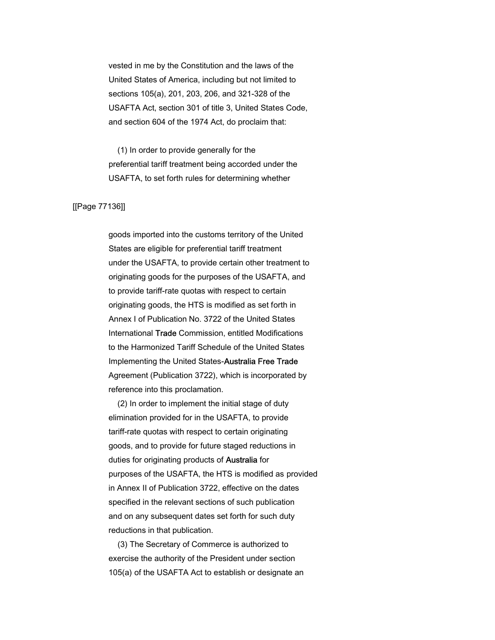vested in me by the Constitution and the laws of the United States of America, including but not limited to sections 105(a), 201, 203, 206, and 321-328 of the USAFTA Act, section 301 of title 3, United States Code, and section 604 of the 1974 Act, do proclaim that:

 (1) In order to provide generally for the preferential tariff treatment being accorded under the USAFTA, to set forth rules for determining whether

## [[Page 77136]]

 goods imported into the customs territory of the United States are eligible for preferential tariff treatment under the USAFTA, to provide certain other treatment to originating goods for the purposes of the USAFTA, and to provide tariff-rate quotas with respect to certain originating goods, the HTS is modified as set forth in Annex I of Publication No. 3722 of the United States International Trade Commission, entitled Modifications to the Harmonized Tariff Schedule of the United States Implementing the United States-Australia Free Trade Agreement (Publication 3722), which is incorporated by reference into this proclamation.

 (2) In order to implement the initial stage of duty elimination provided for in the USAFTA, to provide tariff-rate quotas with respect to certain originating goods, and to provide for future staged reductions in duties for originating products of Australia for purposes of the USAFTA, the HTS is modified as provided in Annex II of Publication 3722, effective on the dates specified in the relevant sections of such publication and on any subsequent dates set forth for such duty reductions in that publication.

 (3) The Secretary of Commerce is authorized to exercise the authority of the President under section 105(a) of the USAFTA Act to establish or designate an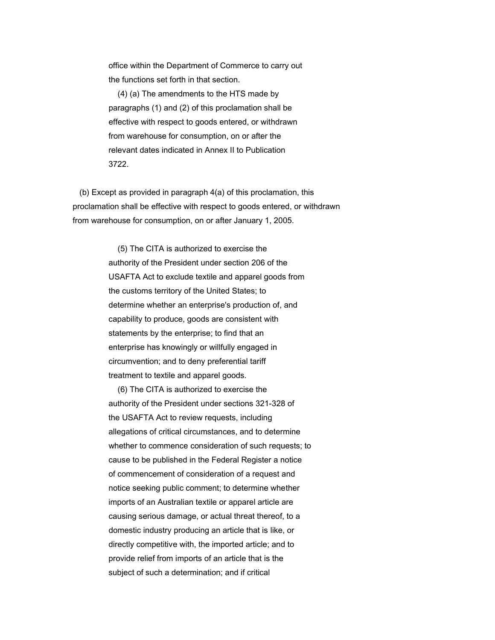office within the Department of Commerce to carry out the functions set forth in that section.

 (4) (a) The amendments to the HTS made by paragraphs (1) and (2) of this proclamation shall be effective with respect to goods entered, or withdrawn from warehouse for consumption, on or after the relevant dates indicated in Annex II to Publication 3722.

 (b) Except as provided in paragraph 4(a) of this proclamation, this proclamation shall be effective with respect to goods entered, or withdrawn from warehouse for consumption, on or after January 1, 2005.

> (5) The CITA is authorized to exercise the authority of the President under section 206 of the USAFTA Act to exclude textile and apparel goods from the customs territory of the United States; to determine whether an enterprise's production of, and capability to produce, goods are consistent with statements by the enterprise; to find that an enterprise has knowingly or willfully engaged in circumvention; and to deny preferential tariff treatment to textile and apparel goods.

 (6) The CITA is authorized to exercise the authority of the President under sections 321-328 of the USAFTA Act to review requests, including allegations of critical circumstances, and to determine whether to commence consideration of such requests; to cause to be published in the Federal Register a notice of commencement of consideration of a request and notice seeking public comment; to determine whether imports of an Australian textile or apparel article are causing serious damage, or actual threat thereof, to a domestic industry producing an article that is like, or directly competitive with, the imported article; and to provide relief from imports of an article that is the subject of such a determination; and if critical